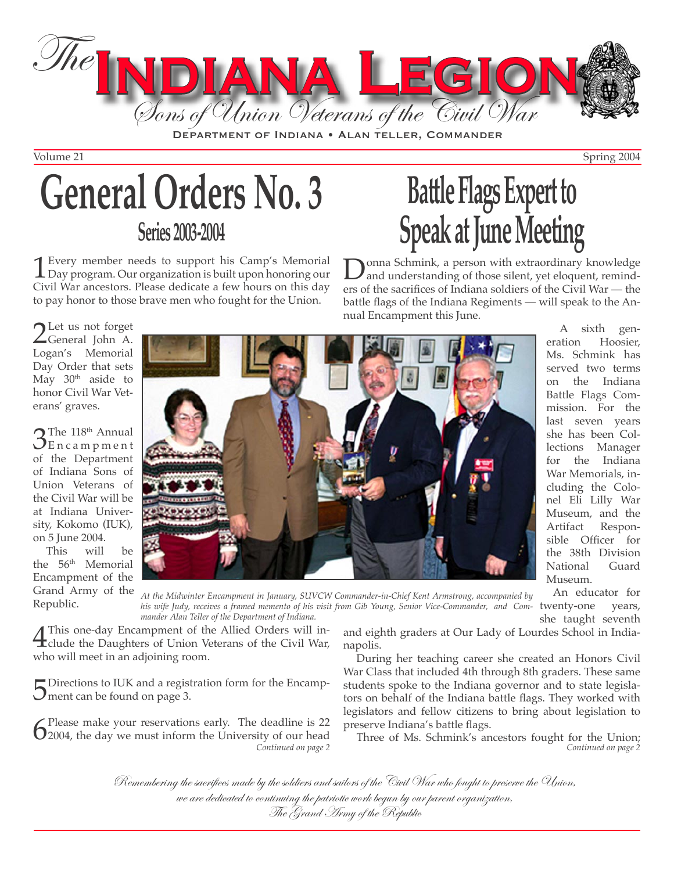

DEPARTMENT OF INDIANA • ALAN TELLER, COMMANDER

Volume 21 Spring 2004

# **General Orders No. 3 Series 2003-2004**

**1** Every member needs to support his Camp's Memorial Day program. Our organization is built upon honoring our Givil War appeators. Please dedicate a few hours on this day. Civil War ancestors. Please dedicate a few hours on this day to pay honor to those brave men who fought for the Union.

# **Battle Flags Expert to Speak at June Meeting**

**D**onna Schmink, a person with extraordinary knowledge<br>and understanding of those silent, yet eloquent, remind-<br>are of the exerifies of Indiana soldiers of the Givil War ers of the sacrifices of Indiana soldiers of the Civil War — the battle flags of the Indiana Regiments — will speak to the Annual Encampment this June.

2 Let us not forget<br>Ceneral John A. Logan's Memorial Day Order that sets May 30<sup>th</sup> aside to honor Civil War Veterans' graves.

 $\mathcal{S}_{\text{En c a m p m e n t}}^{\text{The 118th Annual}}$ of the Department of Indiana Sons of Union Veterans of the Civil War will be at Indiana University, Kokomo (IUK), on 5 June 2004.

This will be the 56<sup>th</sup> Memorial Encampment of the Grand Army of the Republic.



A sixth generation Hoosier, Ms. Schmink has served two terms on the Indiana Battle Flags Commission. For the last seven years she has been Collections Manager for the Indiana War Memorials, including the Colonel Eli Lilly War Museum, and the<br>Artifact Respon-Responsible Officer for the 38th Division National Guard Museum.

*At the Midwinter Encampment in January, SUVCW Commander-in-Chief Kent Armstrong, accompanied by his wife Judy, receives a framed memento of his visit from Gib Young, Senior Vice-Commander, and Com-*twenty-one years, *mander Alan Teller of the Department of Indiana.* An educator for she taught seventh

A This one-day Encampment of the Allied Orders will in-<br>clude the Daughters of Union Veterans of the Civil War, who will meet in an adjoining room.

 $\Box$  Directions to IUK and a registration form for the Encamp- $\mathcal{J}$  ment can be found on page 3.

 $\int_{0}^{\text{Please make your reservations early.} }$  The deadline is 22 2004, the day we must inform the University of our head

and eighth graders at Our Lady of Lourdes School in Indianapolis.

During her teaching career she created an Honors Civil War Class that included 4th through 8th graders. These same students spoke to the Indiana governor and to state legislators on behalf of the Indiana battle flags. They worked with legislators and fellow citizens to bring about legislation to preserve Indiana's battle flags.

*Continued on page 2* Three of Ms. Schmink's ancestors fought for the Union; *Continued on page 2*

Remembering the sacrifices made by the soldiers and sailors of the Civil War who fought to preserve the Union, we are dedicated to continuing the patriotic work begun by our parent organization,<br>The Grand Army of the Republic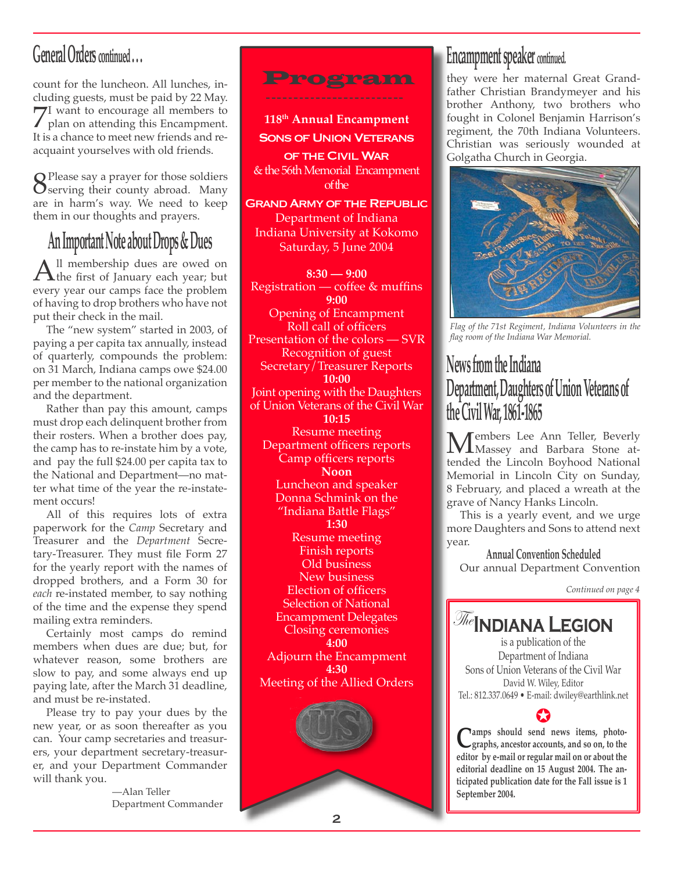# **General Orders continued . . .**

count for the luncheon. All lunches, including guests, must be paid by 22 May. 7I want to encourage all members to<br>plan on attending this Encampment. It is a chance to meet new friends and reacquaint yourselves with old friends.

Serving their county abroad. Many<br>Serving their county abroad. Many are in harm's way. We need to keep them in our thoughts and prayers.

# **An Important Note about Drops & Dues**

 $\mathbf{A}$ ll membership dues are owed on  $\mathbf{A}$ the first of January each year; but our compe foco the problem every year our camps face the problem of having to drop brothers who have not put their check in the mail.

The "new system" started in 2003, of paying a per capita tax annually, instead of quarterly, compounds the problem: on 31 March, Indiana camps owe \$24.00 per member to the national organization and the department.

Rather than pay this amount, camps must drop each delinquent brother from their rosters. When a brother does pay, the camp has to re-instate him by a vote, and pay the full \$24.00 per capita tax to the National and Department—no matter what time of the year the re-instatement occurs!

All of this requires lots of extra paperwork for the *Camp* Secretary and Treasurer and the *Department* Secretary-Treasurer. They must file Form 27 for the yearly report with the names of dropped brothers, and a Form 30 for *each* re-instated member, to say nothing of the time and the expense they spend mailing extra reminders.

Certainly most camps do remind members when dues are due; but, for whatever reason, some brothers are slow to pay, and some always end up paying late, after the March 31 deadline, and must be re-instated.

Please try to pay your dues by the new year, or as soon thereafter as you can. Your camp secretaries and treasurers, your department secretary-treasurer, and your Department Commander will thank you.

> —Alan Teller Department Commander



**118th Annual Encampment SONS OF UNION VETERANS** OF THE CIVIL WAR & the 56th Memorial Encampment

of the

**GRAND ARMY OF THE REPUBLIC** Department of Indiana Indiana University at Kokomo Saturday, 5 June 2004

**8:30 — 9:00** Registration — coffee & muffins **9:00** Opening of Encampment Roll call of officers Presentation of the colors — SVR Recognition of guest Secretary/Treasurer Reports **10:00** Joint opening with the Daughters of Union Veterans of the Civil War **10:15** Resume meeting Department officers reports Camp officers reports **Noon** Luncheon and speaker Donna Schmink on the "Indiana Battle Flags" **1:30** Resume meeting Finish reports Old business New business Election of officers Selection of National Encampment Delegates Closing ceremonies **4:00** Adjourn the Encampment **4:30** Meeting of the Allied Orders

### **Encampment speaker continued.**

they were her maternal Great Grandfather Christian Brandymeyer and his brother Anthony, two brothers who fought in Colonel Benjamin Harrison's regiment, the 70th Indiana Volunteers. Christian was seriously wounded at Golgatha Church in Georgia.



*Flag of the 71st Regiment, Indiana Volunteers in the flag room of the Indiana War Memorial.*

## **News from the Indiana Department, Daughters of Union Veterans of the Civil War, 1861-1865**

Members Lee Ann Teller, Beverly Massey and Barbara Stone attended the Lincoln Boyhood National Memorial in Lincoln City on Sunday, 8 February, and placed a wreath at the grave of Nancy Hanks Lincoln.

This is a yearly event, and we urge more Daughters and Sons to attend next year.

**Annual Convention Scheduled**  Our annual Department Convention

*Continued on page 4*

The**Indiana Legion**

is a publication of the Department of Indiana Sons of Union Veterans of the Civil War David W. Wiley, Editor Tel.: 812.337.0649 • E-mail: dwiley@earthlink.net

**C**<br>**C**<sub>a</sub> and so on, to the graphs, ancestor accounts, and so on, to the **editor by e-mail or regular mail on or about the editorial deadline on 15 August 2004. The anticipated publication date for the Fall issue is 1 September 2004.** ✪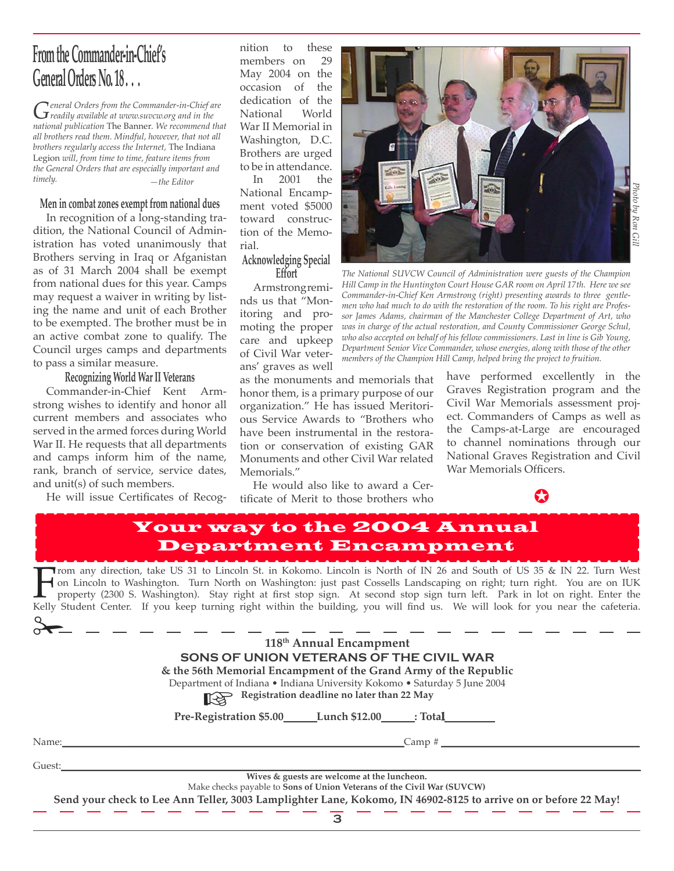# **From the Commander-in-Chief's General Orders No. 18 . . .**

*General Orders from the Commander-in-Chief are readily available at www.suvcw.org and in the national publication* The Banner*. We recommend that all brothers read them. Mindful, however, that not all brothers regularly access the Internet,* The Indiana Legion *will, from time to time, feature items from the General Orders that are especially important and timely. —the Editor*

#### **Men in combat zones exempt from national dues**

In recognition of a long-standing tradition, the National Council of Administration has voted unanimously that Brothers serving in Iraq or Afganistan as of 31 March 2004 shall be exempt from national dues for this year. Camps may request a waiver in writing by listing the name and unit of each Brother to be exempted. The brother must be in an active combat zone to qualify. The Council urges camps and departments to pass a similar measure.

### **Recognizing World War II Veterans**

Commander-in-Chief Kent Armstrong wishes to identify and honor all current members and associates who served in the armed forces during World War II. He requests that all departments and camps inform him of the name, rank, branch of service, service dates, and unit(s) of such members.

He will issue Certificates of Recog-

nition to these<br>members on 29 members on May 2004 on the occasion of the dedication of the National World War II Memorial in Washington, D.C. Brothers are urged to be in attendance.

In 2001 the National Encampment voted \$5000 toward construction of the Memorial.

# **Acknowledging Special Effort**

Armstrong reminds us that "Monitoring and promoting the proper care and upkeep of Civil War veterans' graves as well



*The National SUVCW Council of Administration were guests of the Champion Hill Camp in the Huntington Court House GAR room on April 17th. Here we see Commander-in-Chief Ken Armstrong (right) presenting awards to three gentlemen who had much to do with the restoration of the room. To his right are Professor James Adams, chairman of the Manchester College Department of Art, who was in charge of the actual restoration, and County Commissioner George Schul, who also accepted on behalf of his fellow commissioners. Last in line is Gib Young, Department Senior Vice Commander, whose energies, along with those of the other members of the Champion Hill Camp, helped bring the project to fruition.* 

as the monuments and memorials that honor them, is a primary purpose of our organization." He has issued Meritorious Service Awards to "Brothers who have been instrumental in the restoration or conservation of existing GAR Monuments and other Civil War related Memorials."

He would also like to award a Certificate of Merit to those brothers who have performed excellently in the Graves Registration program and the Civil War Memorials assessment project. Commanders of Camps as well as the Camps-at-Large are encouraged to channel nominations through our National Graves Registration and Civil War Memorials Officers.



### Your way to the 2004 Annual Department Encampment

Trom any direction, take US 31 to Lincoln St. in Kokomo. Lincoln is North of IN 26 and South of US 35 & IN 22. Turn West<br>In a Lincoln to Washington. Turn North on Washington: just past Cossells Landscaping on right; turn r on Lincoln to Washington. Turn North on Washington: just past Cossells Landscaping on right; turn right. You are on IUK property (2300 S. Washington). Stay right at first stop sign. At second stop sign turn left. Park in lot on right. Enter the

|        | 118 <sup>th</sup> Annual Encampment<br>SONS OF UNION VETERANS OF THE CIVIL WAR<br>& the 56th Memorial Encampment of the Grand Army of the Republic<br>Department of Indiana • Indiana University Kokomo • Saturday 5 June 2004<br>Registration deadline no later than 22 May |
|--------|------------------------------------------------------------------------------------------------------------------------------------------------------------------------------------------------------------------------------------------------------------------------------|
|        | Pre-Registration \$5.00 Lunch \$12.00 _____: Total                                                                                                                                                                                                                           |
| Name:  | Camp#                                                                                                                                                                                                                                                                        |
| Guest: |                                                                                                                                                                                                                                                                              |
|        | Wives & guests are welcome at the luncheon.<br>Make checks payable to Sons of Union Veterans of the Civil War (SUVCW)<br>Send your check to Lee Ann Teller, 3003 Lamplighter Lane, Kokomo, IN 46902-8125 to arrive on or before 22 May!                                      |
|        |                                                                                                                                                                                                                                                                              |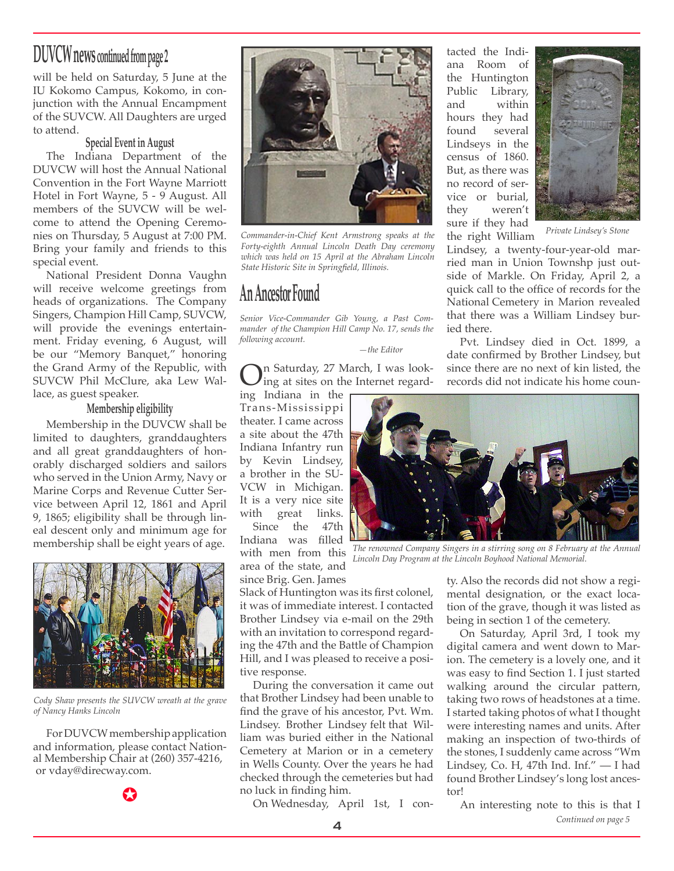# **DUVCW news continued from page 2**

will be held on Saturday, 5 June at the IU Kokomo Campus, Kokomo, in conjunction with the Annual Encampment of the SUVCW. All Daughters are urged to attend.

#### **Special Event in August**

The Indiana Department of the DUVCW will host the Annual National Convention in the Fort Wayne Marriott Hotel in Fort Wayne, 5 - 9 August. All members of the SUVCW will be welcome to attend the Opening Ceremonies on Thursday, 5 August at 7:00 PM. Bring your family and friends to this special event.

National President Donna Vaughn will receive welcome greetings from heads of organizations. The Company Singers, Champion Hill Camp, SUVCW, will provide the evenings entertainment. Friday evening, 6 August, will be our "Memory Banquet," honoring the Grand Army of the Republic, with SUVCW Phil McClure, aka Lew Wallace, as guest speaker.

#### **Membership eligibility**

Membership in the DUVCW shall be limited to daughters, granddaughters and all great granddaughters of honorably discharged soldiers and sailors who served in the Union Army, Navy or Marine Corps and Revenue Cutter Service between April 12, 1861 and April 9, 1865; eligibility shall be through lineal descent only and minimum age for membership shall be eight years of age.



*Cody Shaw presents the SUVCW wreath at the grave of Nancy Hanks Lincoln*

For DUVCW membership application and information, please contact National Membership Chair at (260) 357-4216, or vday@direcway.com.





*Commander-in-Chief Kent Armstrong speaks at the Forty-eighth Annual Lincoln Death Day ceremony which was held on 15 April at the Abraham Lincoln State Historic Site in Springfield, Illinois.*

### **An Ancestor Found**

*Senior Vice-Commander Gib Young, a Past Commander of the Champion Hill Camp No. 17, sends the following account.* 

 *—the Editor*

On Saturday, 27 March, I was look-ing at sites on the Internet regard-

ing Indiana in the Trans-Mississippi theater. I came across a site about the 47th Indiana Infantry run by Kevin Lindsey, a brother in the SU-VCW in Michigan. It is a very nice site with great links.<br>Since the 47th Since Indiana was filled with men from this

area of the state, and since Brig. Gen. James

Slack of Huntington was its first colonel, it was of immediate interest. I contacted Brother Lindsey via e-mail on the 29th with an invitation to correspond regarding the 47th and the Battle of Champion Hill, and I was pleased to receive a positive response.

During the conversation it came out that Brother Lindsey had been unable to find the grave of his ancestor, Pvt. Wm. Lindsey. Brother Lindsey felt that William was buried either in the National Cemetery at Marion or in a cemetery in Wells County. Over the years he had checked through the cemeteries but had no luck in finding him.

tacted the Indiana Room of the Huntington Public Library, and within hours they had found several Lindseys in the census of 1860. But, as there was no record of service or burial, they weren't sure if they had the right William



*Private Lindsey's Stone*

Lindsey, a twenty-four-year-old married man in Union Townshp just outside of Markle. On Friday, April 2, a quick call to the office of records for the National Cemetery in Marion revealed that there was a William Lindsey buried there.

Pvt. Lindsey died in Oct. 1899, a date confirmed by Brother Lindsey, but since there are no next of kin listed, the records did not indicate his home coun-



*The renowned Company Singers in a stirring song on 8 February at the Annual Lincoln Day Program at the Lincoln Boyhood National Memorial.*

ty. Also the records did not show a regimental designation, or the exact location of the grave, though it was listed as being in section 1 of the cemetery.

On Saturday, April 3rd, I took my digital camera and went down to Marion. The cemetery is a lovely one, and it was easy to find Section 1. I just started walking around the circular pattern, taking two rows of headstones at a time. I started taking photos of what I thought were interesting names and units. After making an inspection of two-thirds of the stones, I suddenly came across "Wm Lindsey, Co. H, 47th Ind. Inf." — I had found Brother Lindsey's long lost ancestor!

On Wednesday, April 1st, I con-

An interesting note to this is that I *Continued on page 5*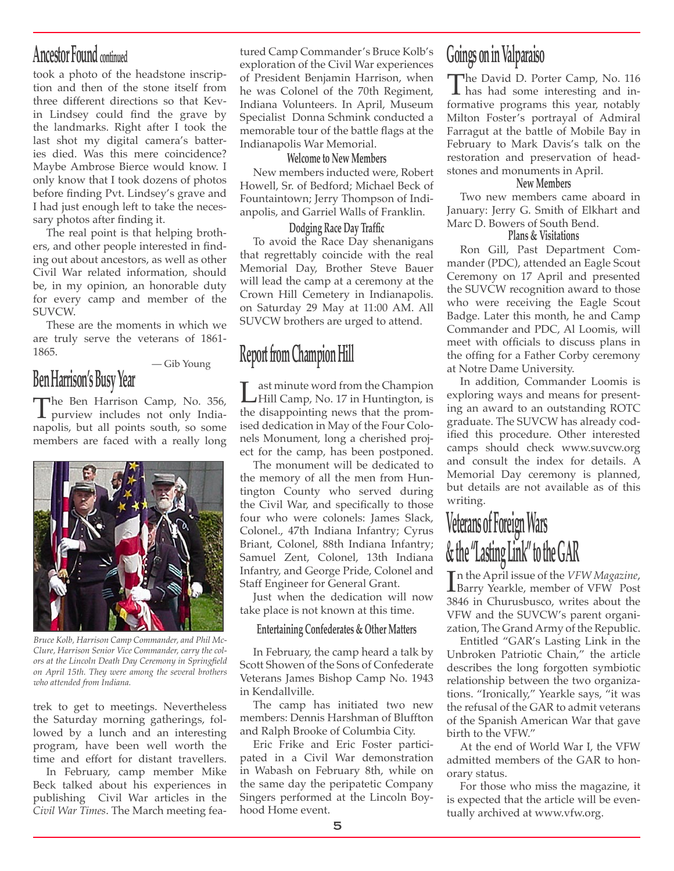### **Ancestor Found continued**

took a photo of the headstone inscription and then of the stone itself from three different directions so that Kevin Lindsey could find the grave by the landmarks. Right after I took the last shot my digital camera's batteries died. Was this mere coincidence? Maybe Ambrose Bierce would know. I only know that I took dozens of photos before finding Pvt. Lindsey's grave and I had just enough left to take the necessary photos after finding it.

The real point is that helping brothers, and other people interested in finding out about ancestors, as well as other Civil War related information, should be, in my opinion, an honorable duty for every camp and member of the SUVCW.

These are the moments in which we are truly serve the veterans of 1861- 1865.

— Gib Young

# **Ben Harrison's Busy Year**

The Ben Harrison Camp, No. 356,<br>purview includes not only Indianapolis, but all points south, so some members are faced with a really long



*Bruce Kolb, Harrison Camp Commander, and Phil Mc-Clure, Harrison Senior Vice Commander, carry the colors at the Lincoln Death Day Ceremony in Springfield on April 15th. They were among the several brothers who attended from Indiana.* 

trek to get to meetings. Nevertheless the Saturday morning gatherings, followed by a lunch and an interesting program, have been well worth the time and effort for distant travellers.

In February, camp member Mike Beck talked about his experiences in publishing Civil War articles in the *Civil War Times*. The March meeting fea-

tured Camp Commander's Bruce Kolb's exploration of the Civil War experiences of President Benjamin Harrison, when he was Colonel of the 70th Regiment, Indiana Volunteers. In April, Museum Specialist Donna Schmink conducted a memorable tour of the battle flags at the Indianapolis War Memorial.

### **Welcome to New Members**

New members inducted were, Robert Howell, Sr. of Bedford; Michael Beck of Fountaintown; Jerry Thompson of Indianpolis, and Garriel Walls of Franklin.

### **Dodging Race Day Traffic**

To avoid the Race Day shenanigans that regrettably coincide with the real Memorial Day, Brother Steve Bauer will lead the camp at a ceremony at the Crown Hill Cemetery in Indianapolis. on Saturday 29 May at 11:00 AM. All SUVCW brothers are urged to attend.

# **Report from Champion Hill**

Last minute word from the Champion<br>
Hill Camp, No. 17 in Huntington, is<br>
the disappointing nows that the norm the disappointing news that the promised dedication in May of the Four Colonels Monument, long a cherished project for the camp, has been postponed.

The monument will be dedicated to the memory of all the men from Huntington County who served during the Civil War, and specifically to those four who were colonels: James Slack, Colonel., 47th Indiana Infantry; Cyrus Briant, Colonel, 88th Indiana Infantry; Samuel Zent, Colonel, 13th Indiana Infantry, and George Pride, Colonel and Staff Engineer for General Grant.

Just when the dedication will now take place is not known at this time.

### **Entertaining Confederates & Other Matters**

In February, the camp heard a talk by Scott Showen of the Sons of Confederate Veterans James Bishop Camp No. 1943 in Kendallville.

The camp has initiated two new members: Dennis Harshman of Bluffton and Ralph Brooke of Columbia City.

Eric Frike and Eric Foster participated in a Civil War demonstration in Wabash on February 8th, while on the same day the peripatetic Company Singers performed at the Lincoln Boyhood Home event.

# **Goings on in Valparaiso**

The David D. Porter Camp, No. 116<br>has had some interesting and in-<br>formative programs this year, potably formative programs this year, notably Milton Foster's portrayal of Admiral Farragut at the battle of Mobile Bay in February to Mark Davis's talk on the restoration and preservation of headstones and monuments in April.

### **New Members**

Two new members came aboard in January: Jerry G. Smith of Elkhart and Marc D. Bowers of South Bend.

### **Plans & Visitations**

Ron Gill, Past Department Commander (PDC), attended an Eagle Scout Ceremony on 17 April and presented the SUVCW recognition award to those who were receiving the Eagle Scout Badge. Later this month, he and Camp Commander and PDC, Al Loomis, will meet with officials to discuss plans in the offing for a Father Corby ceremony at Notre Dame University.

In addition, Commander Loomis is exploring ways and means for presenting an award to an outstanding ROTC graduate. The SUVCW has already codified this procedure. Other interested camps should check www.suvcw.org and consult the index for details. A Memorial Day ceremony is planned, but details are not available as of this writing.

# **Veterans of Foreign Wars & the "Lasting Link" to the GAR**

In the April issue of the *VFW Magazine*,<br>Barry Yearkle, member of VFW Post<br>2846 in Churuchucco, writes about the n the April issue of the *VFW Magazine*, 3846 in Churusbusco, writes about the VFW and the SUVCW's parent organization, The Grand Army of the Republic.

Entitled "GAR's Lasting Link in the Unbroken Patriotic Chain," the article describes the long forgotten symbiotic relationship between the two organizations. "Ironically," Yearkle says, "it was the refusal of the GAR to admit veterans of the Spanish American War that gave birth to the VFW."

At the end of World War I, the VFW admitted members of the GAR to honorary status.

For those who miss the magazine, it is expected that the article will be eventually archived at www.vfw.org.